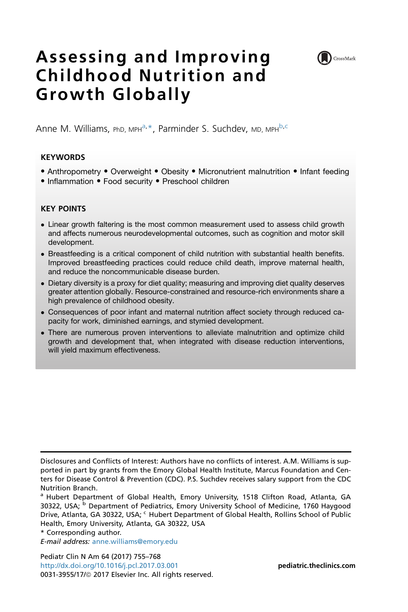

# Assessing and Improving Childhood Nutrition and Growth Globally

Anne M. Williams, PhD, MPH<sup>a,\*</sup>, Parminder S. Suchdev, MD, MPH<sup>b,c</sup>

### **KEYWORDS**

- Anthropometry Overweight Obesity Micronutrient malnutrition Infant feeding
- Inflammation Food security Preschool children

#### KEY POINTS

- Linear growth faltering is the most common measurement used to assess child growth and affects numerous neurodevelopmental outcomes, such as cognition and motor skill development.
- Breastfeeding is a critical component of child nutrition with substantial health benefits. Improved breastfeeding practices could reduce child death, improve maternal health, and reduce the noncommunicable disease burden.
- Dietary diversity is a proxy for diet quality; measuring and improving diet quality deserves greater attention globally. Resource-constrained and resource-rich environments share a high prevalence of childhood obesity.
- Consequences of poor infant and maternal nutrition affect society through reduced capacity for work, diminished earnings, and stymied development.
- There are numerous proven interventions to alleviate malnutrition and optimize child growth and development that, when integrated with disease reduction interventions, will yield maximum effectiveness.

Disclosures and Conflicts of Interest: Authors have no conflicts of interest. A.M. Williams is supported in part by grants from the Emory Global Health Institute, Marcus Foundation and Centers for Disease Control & Prevention (CDC). P.S. Suchdev receives salary support from the CDC Nutrition Branch.

\* Corresponding author.

E-mail address: [anne.williams@emory.edu](mailto:anne.williams@emory.edu)

Pediatr Clin N Am 64 (2017) 755–768 <http://dx.doi.org/10.1016/j.pcl.2017.03.001> [pediatric.theclinics.com](http://pediatric.theclinics.com) 0031-3955/17/@ 2017 Elsevier Inc. All rights reserved.

<sup>&</sup>lt;sup>a</sup> Hubert Department of Global Health, Emory University, 1518 Clifton Road, Atlanta, GA 30322, USA; <sup>b</sup> Department of Pediatrics, Emory University School of Medicine, 1760 Haygood Drive, Atlanta, GA 30322, USA; <sup>c</sup> Hubert Department of Global Health, Rollins School of Public Health, Emory University, Atlanta, GA 30322, USA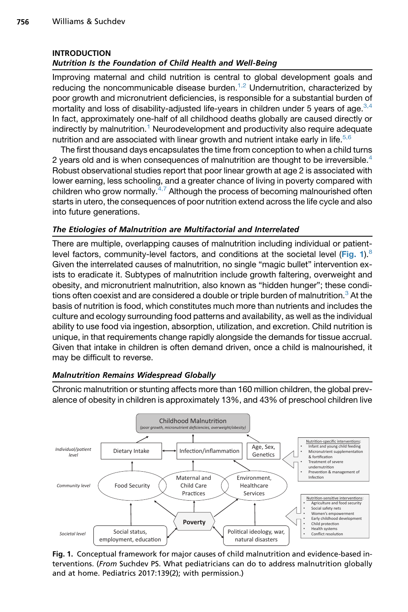# <span id="page-1-0"></span>INTRODUCTION Nutrition Is the Foundation of Child Health and Well-Being

Improving maternal and child nutrition is central to global development goals and reducing the noncommunicable disease burden.<sup>[1,2](#page-8-0)</sup> Undernutrition, characterized by poor growth and micronutrient deficiencies, is responsible for a substantial burden of mortality and loss of disability-adjusted life-years in children under 5 years of age.  $3,4$ In fact, approximately one-half of all childhood deaths globally are caused directly or indirectly by malnutrition.<sup>[1](#page-8-0)</sup> Neurodevelopment and productivity also require adequate nutrition and are associated with linear growth and nutrient intake early in life. $5,6$ 

The first thousand days encapsulates the time from conception to when a child turns 2 years old and is when consequences of malnutrition are thought to be irreversible.<sup>[4](#page-8-0)</sup> Robust observational studies report that poor linear growth at age 2 is associated with lower earning, less schooling, and a greater chance of living in poverty compared with children who grow normally. $4.7$  Although the process of becoming malnourished often starts in utero, the consequences of poor nutrition extend across the life cycle and also into future generations.

# The Etiologies of Malnutrition are Multifactorial and Interrelated

There are multiple, overlapping causes of malnutrition including individual or patient-level factors, community-level factors, and conditions at the societal level (Fig. 1).<sup>[8](#page-9-0)</sup> Given the interrelated causes of malnutrition, no single "magic bullet" intervention exists to eradicate it. Subtypes of malnutrition include growth faltering, overweight and obesity, and micronutrient malnutrition, also known as "hidden hunger"; these condi-tions often coexist and are considered a double or triple burden of malnutrition.<sup>[3](#page-8-0)</sup> At the basis of nutrition is food, which constitutes much more than nutrients and includes the culture and ecology surrounding food patterns and availability, as well as the individual ability to use food via ingestion, absorption, utilization, and excretion. Child nutrition is unique, in that requirements change rapidly alongside the demands for tissue accrual. Given that intake in children is often demand driven, once a child is malnourished, it may be difficult to reverse.

# Malnutrition Remains Widespread Globally

Chronic malnutrition or stunting affects more than 160 million children, the global prevalence of obesity in children is approximately 13%, and 43% of preschool children live



Fig. 1. Conceptual framework for major causes of child malnutrition and evidence-based interventions. (From Suchdev PS. What pediatricians can do to address malnutrition globally and at home. Pediatrics 2017:139(2); with permission.)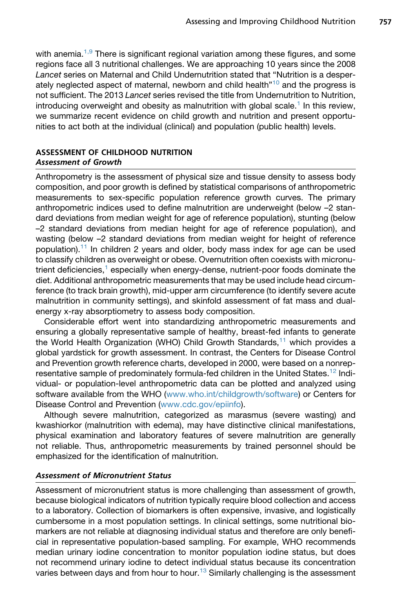with anemia.<sup>[1,9](#page-8-0)</sup> There is significant regional variation among these figures, and some regions face all 3 nutritional challenges. We are approaching 10 years since the 2008 *Lancet* series on Maternal and Child Undernutrition stated that "Nutrition is a desperately neglected aspect of maternal, newborn and child health"[10](#page-9-0) and the progress is not sufficient. The 2013 *Lancet* series revised the title from Undernutrition to Nutrition, introducing overweight and obesity as malnutrition with global scale.<sup>[1](#page-8-0)</sup> In this review, we summarize recent evidence on child growth and nutrition and present opportunities to act both at the individual (clinical) and population (public health) levels.

# ASSESSMENT OF CHILDHOOD NUTRITION Assessment of Growth

Anthropometry is the assessment of physical size and tissue density to assess body composition, and poor growth is defined by statistical comparisons of anthropometric measurements to sex-specific population reference growth curves. The primary anthropometric indices used to define malnutrition are underweight (below –2 standard deviations from median weight for age of reference population), stunting (below –2 standard deviations from median height for age of reference population), and wasting (below –2 standard deviations from median weight for height of reference population).[11](#page-9-0) In children 2 years and older, body mass index for age can be used to classify children as overweight or obese. Overnutrition often coexists with micronutrient deficiencies, $<sup>1</sup>$  $<sup>1</sup>$  $<sup>1</sup>$  especially when energy-dense, nutrient-poor foods dominate the</sup> diet. Additional anthropometric measurements that may be used include head circumference (to track brain growth), mid-upper arm circumference (to identify severe acute malnutrition in community settings), and skinfold assessment of fat mass and dualenergy x-ray absorptiometry to assess body composition.

Considerable effort went into standardizing anthropometric measurements and ensuring a globally representative sample of healthy, breast-fed infants to generate the World Health Organization (WHO) Child Growth Standards,<sup>[11](#page-9-0)</sup> which provides a global yardstick for growth assessment. In contrast, the Centers for Disease Control and Prevention growth reference charts, developed in 2000, were based on a nonrep-resentative sample of predominately formula-fed children in the United States.<sup>[12](#page-9-0)</sup> Individual- or population-level anthropometric data can be plotted and analyzed using software available from the WHO [\(www.who.int/childgrowth/software\)](http://www.who.int/childgrowth/software) or Centers for Disease Control and Prevention [\(www.cdc.gov/epiinfo](http://www.cdc.gov/epiinfo)).

Although severe malnutrition, categorized as marasmus (severe wasting) and kwashiorkor (malnutrition with edema), may have distinctive clinical manifestations, physical examination and laboratory features of severe malnutrition are generally not reliable. Thus, anthropometric measurements by trained personnel should be emphasized for the identification of malnutrition.

#### Assessment of Micronutrient Status

Assessment of micronutrient status is more challenging than assessment of growth, because biological indicators of nutrition typically require blood collection and access to a laboratory. Collection of biomarkers is often expensive, invasive, and logistically cumbersome in a most population settings. In clinical settings, some nutritional biomarkers are not reliable at diagnosing individual status and therefore are only beneficial in representative population-based sampling. For example, WHO recommends median urinary iodine concentration to monitor population iodine status, but does not recommend urinary iodine to detect individual status because its concentration varies between days and from hour to hour.<sup>[13](#page-9-0)</sup> Similarly challenging is the assessment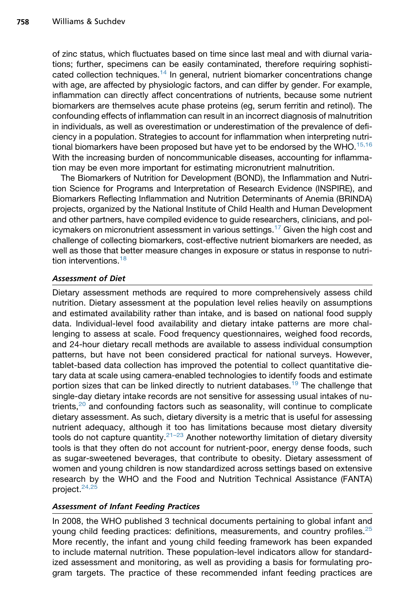of zinc status, which fluctuates based on time since last meal and with diurnal variations; further, specimens can be easily contaminated, therefore requiring sophisti-cated collection techniques.<sup>[14](#page-9-0)</sup> In general, nutrient biomarker concentrations change with age, are affected by physiologic factors, and can differ by gender. For example, inflammation can directly affect concentrations of nutrients, because some nutrient biomarkers are themselves acute phase proteins (eg, serum ferritin and retinol). The confounding effects of inflammation can result in an incorrect diagnosis of malnutrition in individuals, as well as overestimation or underestimation of the prevalence of deficiency in a population. Strategies to account for inflammation when interpreting nutri-tional biomarkers have been proposed but have yet to be endorsed by the WHO.<sup>[15,16](#page-9-0)</sup> With the increasing burden of noncommunicable diseases, accounting for inflammation may be even more important for estimating micronutrient malnutrition.

The Biomarkers of Nutrition for Development (BOND), the Inflammation and Nutrition Science for Programs and Interpretation of Research Evidence (INSPIRE), and Biomarkers Reflecting Inflammation and Nutrition Determinants of Anemia (BRINDA) projects, organized by the National Institute of Child Health and Human Development and other partners, have compiled evidence to guide researchers, clinicians, and pol-icymakers on micronutrient assessment in various settings.<sup>[17](#page-9-0)</sup> Given the high cost and challenge of collecting biomarkers, cost-effective nutrient biomarkers are needed, as well as those that better measure changes in exposure or status in response to nutri-tion interventions.<sup>[18](#page-9-0)</sup>

### Assessment of Diet

Dietary assessment methods are required to more comprehensively assess child nutrition. Dietary assessment at the population level relies heavily on assumptions and estimated availability rather than intake, and is based on national food supply data. Individual-level food availability and dietary intake patterns are more challenging to assess at scale. Food frequency questionnaires, weighed food records, and 24-hour dietary recall methods are available to assess individual consumption patterns, but have not been considered practical for national surveys. However, tablet-based data collection has improved the potential to collect quantitative dietary data at scale using camera-enabled technologies to identify foods and estimate portion sizes that can be linked directly to nutrient databases.<sup>[19](#page-9-0)</sup> The challenge that single-day dietary intake records are not sensitive for assessing usual intakes of nu-trients,<sup>[20](#page-9-0)</sup> and confounding factors such as seasonality, will continue to complicate dietary assessment. As such, dietary diversity is a metric that is useful for assessing nutrient adequacy, although it too has limitations because most dietary diversity tools do not capture quantity. $21-23$  Another noteworthy limitation of dietary diversity tools is that they often do not account for nutrient-poor, energy dense foods, such as sugar-sweetened beverages, that contribute to obesity. Dietary assessment of women and young children is now standardized across settings based on extensive research by the WHO and the Food and Nutrition Technical Assistance (FANTA) project.[24,25](#page-9-0)

### Assessment of Infant Feeding Practices

In 2008, the WHO published 3 technical documents pertaining to global infant and young child feeding practices: definitions, measurements, and country profiles.<sup>[25](#page-9-0)</sup> More recently, the infant and young child feeding framework has been expanded to include maternal nutrition. These population-level indicators allow for standardized assessment and monitoring, as well as providing a basis for formulating program targets. The practice of these recommended infant feeding practices are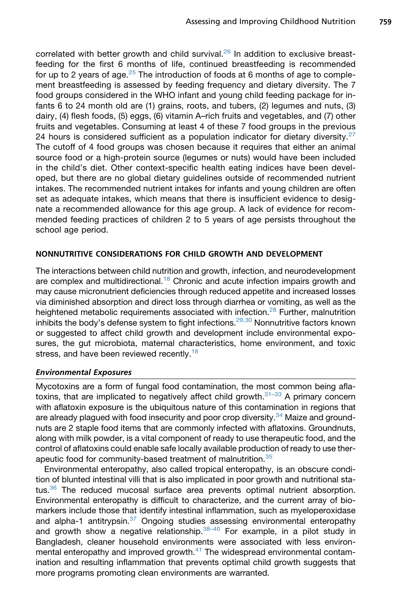correlated with better growth and child survival. $^{26}$  $^{26}$  $^{26}$  In addition to exclusive breastfeeding for the first 6 months of life, continued breastfeeding is recommended for up to 2 years of age.<sup>[25](#page-9-0)</sup> The introduction of foods at 6 months of age to complement breastfeeding is assessed by feeding frequency and dietary diversity. The 7 food groups considered in the WHO infant and young child feeding package for infants 6 to 24 month old are (1) grains, roots, and tubers, (2) legumes and nuts, (3) dairy, (4) flesh foods, (5) eggs, (6) vitamin A–rich fruits and vegetables, and (7) other fruits and vegetables. Consuming at least 4 of these 7 food groups in the previous 24 hours is considered sufficient as a population indicator for dietary diversity. $27$ The cutoff of 4 food groups was chosen because it requires that either an animal source food or a high-protein source (legumes or nuts) would have been included in the child's diet. Other context-specific health eating indices have been developed, but there are no global dietary guidelines outside of recommended nutrient intakes. The recommended nutrient intakes for infants and young children are often set as adequate intakes, which means that there is insufficient evidence to designate a recommended allowance for this age group. A lack of evidence for recommended feeding practices of children 2 to 5 years of age persists throughout the school age period.

#### NONNUTRITIVE CONSIDERATIONS FOR CHILD GROWTH AND DEVELOPMENT

The interactions between child nutrition and growth, infection, and neurodevelopment are complex and multidirectional.<sup>[18](#page-9-0)</sup> Chronic and acute infection impairs growth and may cause micronutrient deficiencies through reduced appetite and increased losses via diminished absorption and direct loss through diarrhea or vomiting, as well as the heightened metabolic requirements associated with infection.<sup>[28](#page-10-0)</sup> Further, malnutrition inhibits the body's defense system to fight infections.<sup>[29,30](#page-10-0)</sup> Nonnutritive factors known or suggested to affect child growth and development include environmental exposures, the gut microbiota, maternal characteristics, home environment, and toxic stress, and have been reviewed recently.<sup>[18](#page-9-0)</sup>

## Environmental Exposures

Mycotoxins are a form of fungal food contamination, the most common being aflatoxins, that are implicated to negatively affect child growth. $31-33$  A primary concern with aflatoxin exposure is the ubiquitous nature of this contamination in regions that are already plagued with food insecurity and poor crop diversity.<sup>[34](#page-10-0)</sup> Maize and groundnuts are 2 staple food items that are commonly infected with aflatoxins. Groundnuts, along with milk powder, is a vital component of ready to use therapeutic food, and the control of aflatoxins could enable safe locally available production of ready to use ther-apeutic food for community-based treatment of malnutrition.<sup>[35](#page-10-0)</sup>

Environmental enteropathy, also called tropical enteropathy, is an obscure condition of blunted intestinal villi that is also implicated in poor growth and nutritional sta-tus.<sup>[36](#page-10-0)</sup> The reduced mucosal surface area prevents optimal nutrient absorption. Environmental enteropathy is difficult to characterize, and the current array of biomarkers include those that identify intestinal inflammation, such as myeloperoxidase and alpha-1 antitrypsin.<sup>[37](#page-10-0)</sup> Ongoing studies assessing environmental enteropathy and growth show a negative relationship.  $38-40$  For example, in a pilot study in Bangladesh, cleaner household environments were associated with less environ-mental enteropathy and improved growth.<sup>[41](#page-10-0)</sup> The widespread environmental contamination and resulting inflammation that prevents optimal child growth suggests that more programs promoting clean environments are warranted.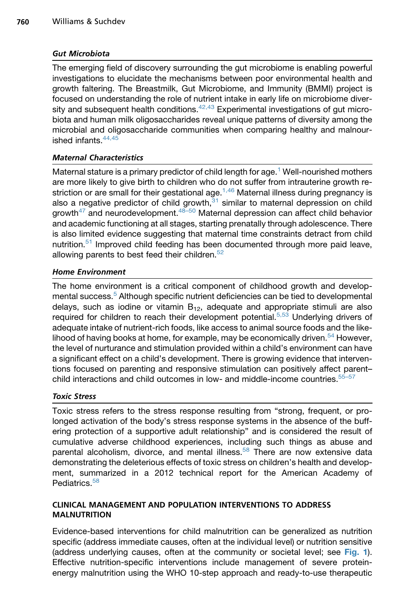## Gut Microbiota

The emerging field of discovery surrounding the gut microbiome is enabling powerful investigations to elucidate the mechanisms between poor environmental health and growth faltering. The Breastmilk, Gut Microbiome, and Immunity (BMMI) project is focused on understanding the role of nutrient intake in early life on microbiome diversity and subsequent health conditions. $42,43$  Experimental investigations of gut microbiota and human milk oligosaccharides reveal unique patterns of diversity among the microbial and oligosaccharide communities when comparing healthy and malnour-ished infants.<sup>[44,45](#page-10-0)</sup>

# Maternal Characteristics

Maternal stature is a primary predictor of child length for age.<sup>[1](#page-8-0)</sup> Well-nourished mothers are more likely to give birth to children who do not suffer from intrauterine growth re-striction or are small for their gestational age.<sup>[1,46](#page-8-0)</sup> Maternal illness during pregnancy is also a negative predictor of child growth, $31$  similar to maternal depression on child growth $47$  and neurodevelopment. $48-50$  Maternal depression can affect child behavior and academic functioning at all stages, starting prenatally through adolescence. There is also limited evidence suggesting that maternal time constraints detract from child nutrition.<sup>[51](#page-11-0)</sup> Improved child feeding has been documented through more paid leave, allowing parents to best feed their children. $52$ 

## Home Environment

The home environment is a critical component of childhood growth and developmental success.[5](#page-8-0) Although specific nutrient deficiencies can be tied to developmental delays, such as iodine or vitamin  $B_{12}$ , adequate and appropriate stimuli are also required for children to reach their development potential.<sup>[5,53](#page-8-0)</sup> Underlying drivers of adequate intake of nutrient-rich foods, like access to animal source foods and the like-lihood of having books at home, for example, may be economically driven.<sup>[54](#page-11-0)</sup> However, the level of nurturance and stimulation provided within a child's environment can have a significant effect on a child's development. There is growing evidence that interventions focused on parenting and responsive stimulation can positively affect parent– child interactions and child outcomes in low- and middle-income countries.<sup>55–57</sup>

# Toxic Stress

Toxic stress refers to the stress response resulting from "strong, frequent, or prolonged activation of the body's stress response systems in the absence of the buffering protection of a supportive adult relationship" and is considered the result of cumulative adverse childhood experiences, including such things as abuse and parental alcoholism, divorce, and mental illness.<sup>[58](#page-11-0)</sup> There are now extensive data demonstrating the deleterious effects of toxic stress on children's health and development, summarized in a 2012 technical report for the American Academy of Pediatrics.<sup>[58](#page-11-0)</sup>

# CLINICAL MANAGEMENT AND POPULATION INTERVENTIONS TO ADDRESS MALNUTRITION

Evidence-based interventions for child malnutrition can be generalized as nutrition specific (address immediate causes, often at the individual level) or nutrition sensitive (address underlying causes, often at the community or societal level; see [Fig. 1](#page-1-0)). Effective nutrition-specific interventions include management of severe proteinenergy malnutrition using the WHO 10-step approach and ready-to-use therapeutic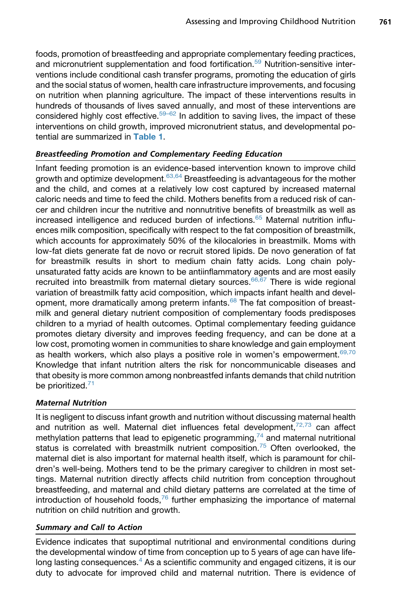foods, promotion of breastfeeding and appropriate complementary feeding practices, and micronutrient supplementation and food fortification.<sup>[59](#page-11-0)</sup> Nutrition-sensitive interventions include conditional cash transfer programs, promoting the education of girls and the social status of women, health care infrastructure improvements, and focusing on nutrition when planning agriculture. The impact of these interventions results in hundreds of thousands of lives saved annually, and most of these interventions are considered highly cost effective.<sup>[59–62](#page-11-0)</sup> In addition to saving lives, the impact of these interventions on child growth, improved micronutrient status, and developmental po-tential are summarized in [Table 1](#page-7-0).

# Breastfeeding Promotion and Complementary Feeding Education

Infant feeding promotion is an evidence-based intervention known to improve child growth and optimize development.<sup>[63,64](#page-11-0)</sup> Breastfeeding is advantageous for the mother and the child, and comes at a relatively low cost captured by increased maternal caloric needs and time to feed the child. Mothers benefits from a reduced risk of cancer and children incur the nutritive and nonnutritive benefits of breastmilk as well as increased intelligence and reduced burden of infections.<sup>[65](#page-12-0)</sup> Maternal nutrition influences milk composition, specifically with respect to the fat composition of breastmilk, which accounts for approximately 50% of the kilocalories in breastmilk. Moms with low-fat diets generate fat de novo or recruit stored lipids. De novo generation of fat for breastmilk results in short to medium chain fatty acids. Long chain polyunsaturated fatty acids are known to be antiinflammatory agents and are most easily recruited into breastmilk from maternal dietary sources.<sup>[66,67](#page-12-0)</sup> There is wide regional variation of breastmilk fatty acid composition, which impacts infant health and development, more dramatically among preterm infants. $68$  The fat composition of breastmilk and general dietary nutrient composition of complementary foods predisposes children to a myriad of health outcomes. Optimal complementary feeding guidance promotes dietary diversity and improves feeding frequency, and can be done at a low cost, promoting women in communities to share knowledge and gain employment as health workers, which also plays a positive role in women's empowerment.  $69,70$ Knowledge that infant nutrition alters the risk for noncommunicable diseases and that obesity is more common among nonbreastfed infants demands that child nutrition be prioritized.<sup>[71](#page-12-0)</sup>

## Maternal Nutrition

It is negligent to discuss infant growth and nutrition without discussing maternal health and nutrition as well. Maternal diet influences fetal development, $72,73$  can affect methylation patterns that lead to epigenetic programming, $74$  and maternal nutritional status is correlated with breastmilk nutrient composition.<sup>[75](#page-12-0)</sup> Often overlooked, the maternal diet is also important for maternal health itself, which is paramount for children's well-being. Mothers tend to be the primary caregiver to children in most settings. Maternal nutrition directly affects child nutrition from conception throughout breastfeeding, and maternal and child dietary patterns are correlated at the time of introduction of household foods, $76$  further emphasizing the importance of maternal nutrition on child nutrition and growth.

# Summary and Call to Action

Evidence indicates that supoptimal nutritional and environmental conditions during the developmental window of time from conception up to 5 years of age can have life-long lasting consequences.<sup>[4](#page-8-0)</sup> As a scientific community and engaged citizens, it is our duty to advocate for improved child and maternal nutrition. There is evidence of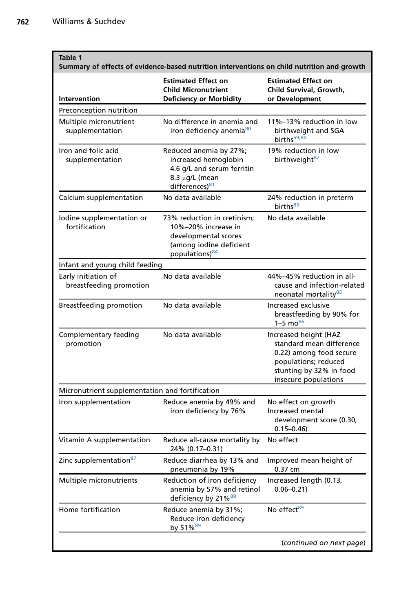<span id="page-7-0"></span>

| Table 1<br>Summary of effects of evidence-based nutrition interventions on child nutrition and growth |                                                                                                                                     |                                                                                                                                                         |  |
|-------------------------------------------------------------------------------------------------------|-------------------------------------------------------------------------------------------------------------------------------------|---------------------------------------------------------------------------------------------------------------------------------------------------------|--|
| Intervention                                                                                          | <b>Estimated Effect on</b><br><b>Child Micronutrient</b><br>Deficiency or Morbidity                                                 | <b>Estimated Effect on</b><br>Child Survival, Growth,<br>or Development                                                                                 |  |
| Preconception nutrition                                                                               |                                                                                                                                     |                                                                                                                                                         |  |
| Multiple micronutrient<br>supplementation                                                             | No difference in anemia and<br>iron deficiency anemia <sup>80</sup>                                                                 | 11%-13% reduction in low<br>birthweight and SGA<br>births <sup>59,80</sup>                                                                              |  |
| Iron and folic acid<br>supplementation                                                                | Reduced anemia by 27%;<br>increased hemoglobin<br>4.6 g/L and serum ferritin<br>$8.3 \mu g/L$ (mean<br>differences) <sup>81</sup>   | 19% reduction in low<br>birthweight <sup>82</sup>                                                                                                       |  |
| Calcium supplementation                                                                               | No data available                                                                                                                   | 24% reduction in preterm<br>births <sup>83</sup>                                                                                                        |  |
| Iodine supplementation or<br>fortification                                                            | 73% reduction in cretinism;<br>10%-20% increase in<br>developmental scores<br>(among iodine deficient<br>populations) <sup>84</sup> | No data available                                                                                                                                       |  |
| Infant and young child feeding                                                                        |                                                                                                                                     |                                                                                                                                                         |  |
| Early initiation of<br>breastfeeding promotion                                                        | No data available                                                                                                                   | 44%-45% reduction in all-<br>cause and infection-related<br>neonatal mortality <sup>85</sup>                                                            |  |
| Breastfeeding promotion                                                                               | No data available                                                                                                                   | Increased exclusive<br>breastfeeding by 90% for<br>$1 - 5$ mo <sup>86</sup>                                                                             |  |
| Complementary feeding<br>promotion                                                                    | No data available                                                                                                                   | Increased height (HAZ<br>standard mean difference<br>0.22) among food secure<br>populations; reduced<br>stunting by 32% in food<br>insecure populations |  |
| Micronutrient supplementation and fortification                                                       |                                                                                                                                     |                                                                                                                                                         |  |
| Iron supplementation                                                                                  | Reduce anemia by 49% and<br>iron deficiency by 76%                                                                                  | No effect on growth<br>Increased mental<br>development score (0.30,<br>$0.15 - 0.46$                                                                    |  |
| Vitamin A supplementation                                                                             | Reduce all-cause mortality by<br>24% (0.17-0.31)                                                                                    | No effect                                                                                                                                               |  |
| Zinc supplementation <sup>87</sup>                                                                    | Reduce diarrhea by 13% and<br>pneumonia by 19%                                                                                      | Improved mean height of<br>0.37 cm                                                                                                                      |  |
| Multiple micronutrients                                                                               | Reduction of iron deficiency<br>anemia by 57% and retinol<br>deficiency by 21% <sup>88</sup>                                        | Increased length (0.13,<br>$0.06 - 0.21$                                                                                                                |  |
| Home fortification                                                                                    | Reduce anemia by 31%;<br>Reduce iron deficiency<br>by 51% <sup>89</sup>                                                             | No effect <sup>89</sup>                                                                                                                                 |  |
|                                                                                                       |                                                                                                                                     | (continued on next page)                                                                                                                                |  |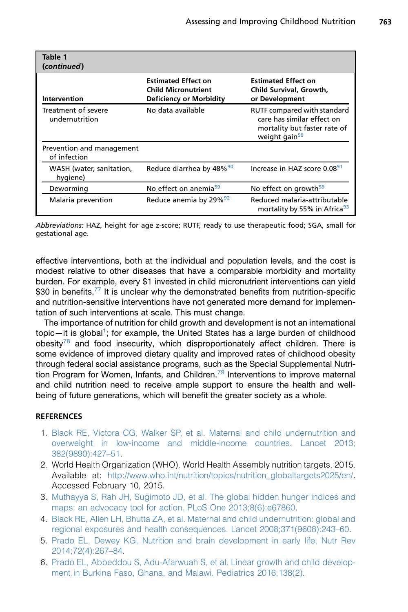<span id="page-8-0"></span>

| Table 1<br>(continued)                    |                                                                                            |                                                                                                                        |
|-------------------------------------------|--------------------------------------------------------------------------------------------|------------------------------------------------------------------------------------------------------------------------|
| Intervention                              | <b>Estimated Effect on</b><br><b>Child Micronutrient</b><br><b>Deficiency or Morbidity</b> | <b>Estimated Effect on</b><br>Child Survival, Growth,<br>or Development                                                |
| Treatment of severe<br>undernutrition     | No data available                                                                          | RUTF compared with standard<br>care has similar effect on<br>mortality but faster rate of<br>weight gain <sup>59</sup> |
| Prevention and management<br>of infection |                                                                                            |                                                                                                                        |
| WASH (water, sanitation,<br>hygiene)      | Reduce diarrhea by 48% <sup>90</sup>                                                       | Increase in HAZ score 0.08 <sup>91</sup>                                                                               |
| Deworming                                 | No effect on anemia <sup>59</sup>                                                          | No effect on growth <sup>59</sup>                                                                                      |
| Malaria prevention                        | Reduce anemia by 29% <sup>92</sup>                                                         | Reduced malaria-attributable<br>mortality by 55% in Africa <sup>93</sup>                                               |

Abbreviations: HAZ, height for age z-score; RUTF, ready to use therapeutic food; SGA, small for gestational age.

effective interventions, both at the individual and population levels, and the cost is modest relative to other diseases that have a comparable morbidity and mortality burden. For example, every \$1 invested in child micronutrient interventions can yield \$30 in benefits.<sup>[77](#page-12-0)</sup> It is unclear why the demonstrated benefits from nutrition-specific and nutrition-sensitive interventions have not generated more demand for implementation of such interventions at scale. This must change.

The importance of nutrition for child growth and development is not an international topic-it is global<sup>1</sup>; for example, the United States has a large burden of childhood obesity $78$  and food insecurity, which disproportionately affect children. There is some evidence of improved dietary quality and improved rates of childhood obesity through federal social assistance programs, such as the Special Supplemental Nutri-tion Program for Women, Infants, and Children.<sup>[79](#page-12-0)</sup> Interventions to improve maternal and child nutrition need to receive ample support to ensure the health and wellbeing of future generations, which will benefit the greater society as a whole.

#### **REFERENCES**

- 1. [Black RE, Victora CG, Walker SP, et al. Maternal and child undernutrition and](http://refhub.elsevier.com/S0031-3955(17)30033-0/sref1) [overweight in low-income and middle-income countries. Lancet 2013;](http://refhub.elsevier.com/S0031-3955(17)30033-0/sref1) [382\(9890\):427–51](http://refhub.elsevier.com/S0031-3955(17)30033-0/sref1).
- 2. World Health Organization (WHO). World Health Assembly nutrition targets. 2015. Available at: [http://www.who.int/nutrition/topics/nutrition\\_globaltargets2025/en/](http://www.who.int/nutrition/topics/nutrition_globaltargets2025/en/). Accessed February 10, 2015.
- 3. [Muthayya S, Rah JH, Sugimoto JD, et al. The global hidden hunger indices and](http://refhub.elsevier.com/S0031-3955(17)30033-0/sref3) [maps: an advocacy tool for action. PLoS One 2013;8\(6\):e67860.](http://refhub.elsevier.com/S0031-3955(17)30033-0/sref3)
- 4. [Black RE, Allen LH, Bhutta ZA, et al. Maternal and child undernutrition: global and](http://refhub.elsevier.com/S0031-3955(17)30033-0/sref4) [regional exposures and health consequences. Lancet 2008;371\(9608\):243–60.](http://refhub.elsevier.com/S0031-3955(17)30033-0/sref4)
- 5. [Prado EL, Dewey KG. Nutrition and brain development in early life. Nutr Rev](http://refhub.elsevier.com/S0031-3955(17)30033-0/sref5) [2014;72\(4\):267–84.](http://refhub.elsevier.com/S0031-3955(17)30033-0/sref5)
- 6. [Prado EL, Abbeddou S, Adu-Afarwuah S, et al. Linear growth and child develop](http://refhub.elsevier.com/S0031-3955(17)30033-0/sref6)[ment in Burkina Faso, Ghana, and Malawi. Pediatrics 2016;138\(2\)](http://refhub.elsevier.com/S0031-3955(17)30033-0/sref6).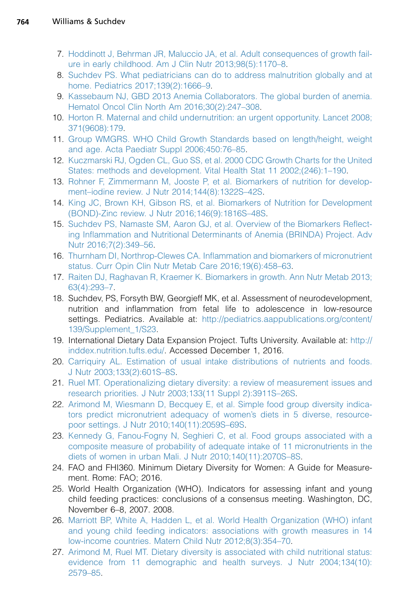- <span id="page-9-0"></span>7. [Hoddinott J, Behrman JR, Maluccio JA, et al. Adult consequences of growth fail](http://refhub.elsevier.com/S0031-3955(17)30033-0/sref7)[ure in early childhood. Am J Clin Nutr 2013;98\(5\):1170–8.](http://refhub.elsevier.com/S0031-3955(17)30033-0/sref7)
- 8. [Suchdev PS. What pediatricians can do to address malnutrition globally and at](http://refhub.elsevier.com/S0031-3955(17)30033-0/sref98) [home. Pediatrics 2017;139\(2\):1666–9.](http://refhub.elsevier.com/S0031-3955(17)30033-0/sref98)
- 9. [Kassebaum NJ, GBD 2013 Anemia Collaborators. The global burden of anemia.](http://refhub.elsevier.com/S0031-3955(17)30033-0/sref8) [Hematol Oncol Clin North Am 2016;30\(2\):247–308.](http://refhub.elsevier.com/S0031-3955(17)30033-0/sref8)
- 10. [Horton R. Maternal and child undernutrition: an urgent opportunity. Lancet 2008;](http://refhub.elsevier.com/S0031-3955(17)30033-0/sref9) [371\(9608\):179](http://refhub.elsevier.com/S0031-3955(17)30033-0/sref9).
- 11. [Group WMGRS. WHO Child Growth Standards based on length/height, weight](http://refhub.elsevier.com/S0031-3955(17)30033-0/sref10) [and age. Acta Paediatr Suppl 2006;450:76–85.](http://refhub.elsevier.com/S0031-3955(17)30033-0/sref10)
- 12. [Kuczmarski RJ, Ogden CL, Guo SS, et al. 2000 CDC Growth Charts for the United](http://refhub.elsevier.com/S0031-3955(17)30033-0/sref11) [States: methods and development. Vital Health Stat 11 2002;\(246\):1–190.](http://refhub.elsevier.com/S0031-3955(17)30033-0/sref11)
- 13. [Rohner F, Zimmermann M, Jooste P, et al. Biomarkers of nutrition for develop](http://refhub.elsevier.com/S0031-3955(17)30033-0/sref12)[ment–iodine review. J Nutr 2014;144\(8\):1322S–42S.](http://refhub.elsevier.com/S0031-3955(17)30033-0/sref12)
- 14. [King JC, Brown KH, Gibson RS, et al. Biomarkers of Nutrition for Development](http://refhub.elsevier.com/S0031-3955(17)30033-0/sref13) [\(BOND\)-Zinc review. J Nutr 2016;146\(9\):1816S–48S](http://refhub.elsevier.com/S0031-3955(17)30033-0/sref13).
- 15. [Suchdev PS, Namaste SM, Aaron GJ, et al. Overview of the Biomarkers Reflect](http://refhub.elsevier.com/S0031-3955(17)30033-0/sref14)[ing Inflammation and Nutritional Determinants of Anemia \(BRINDA\) Project. Adv](http://refhub.elsevier.com/S0031-3955(17)30033-0/sref14) [Nutr 2016;7\(2\):349–56](http://refhub.elsevier.com/S0031-3955(17)30033-0/sref14).
- 16. [Thurnham DI, Northrop-Clewes CA. Inflammation and biomarkers of micronutrient](http://refhub.elsevier.com/S0031-3955(17)30033-0/sref15) [status. Curr Opin Clin Nutr Metab Care 2016;19\(6\):458–63](http://refhub.elsevier.com/S0031-3955(17)30033-0/sref15).
- 17. [Raiten DJ, Raghavan R, Kraemer K. Biomarkers in growth. Ann Nutr Metab 2013;](http://refhub.elsevier.com/S0031-3955(17)30033-0/sref16) [63\(4\):293–7.](http://refhub.elsevier.com/S0031-3955(17)30033-0/sref16)
- 18. Suchdev, PS, Forsyth BW, Georgieff MK, et al. Assessment of neurodevelopment, nutrition and inflammation from fetal life to adolescence in low-resource settings. Pediatrics. Available at: [http://pediatrics.aappublications.org/content/](http://pediatrics.aappublications.org/content/139/Supplement_1/S23) [139/Supplement\\_1/S23](http://pediatrics.aappublications.org/content/139/Supplement_1/S23).
- 19. International Dietary Data Expansion Project. Tufts University. Available at: [http://](http://inddex.nutrition.tufts.edu/) [inddex.nutrition.tufts.edu/.](http://inddex.nutrition.tufts.edu/) Accessed December 1, 2016.
- 20. [Carriquiry AL. Estimation of usual intake distributions of nutrients and foods.](http://refhub.elsevier.com/S0031-3955(17)30033-0/sref19) [J Nutr 2003;133\(2\):601S–8S.](http://refhub.elsevier.com/S0031-3955(17)30033-0/sref19)
- 21. [Ruel MT. Operationalizing dietary diversity: a review of measurement issues and](http://refhub.elsevier.com/S0031-3955(17)30033-0/sref20) [research priorities. J Nutr 2003;133\(11 Suppl 2\):3911S–26S.](http://refhub.elsevier.com/S0031-3955(17)30033-0/sref20)
- 22. [Arimond M, Wiesmann D, Becquey E, et al. Simple food group diversity indica](http://refhub.elsevier.com/S0031-3955(17)30033-0/sref21)[tors predict micronutrient adequacy of women's diets in 5 diverse, resource](http://refhub.elsevier.com/S0031-3955(17)30033-0/sref21)[poor settings. J Nutr 2010;140\(11\):2059S–69S.](http://refhub.elsevier.com/S0031-3955(17)30033-0/sref21)
- 23. [Kennedy G, Fanou-Fogny N, Seghieri C, et al. Food groups associated with a](http://refhub.elsevier.com/S0031-3955(17)30033-0/sref22) [composite measure of probability of adequate intake of 11 micronutrients in the](http://refhub.elsevier.com/S0031-3955(17)30033-0/sref22) [diets of women in urban Mali. J Nutr 2010;140\(11\):2070S–8S](http://refhub.elsevier.com/S0031-3955(17)30033-0/sref22).
- 24. FAO and FHI360. Minimum Dietary Diversity for Women: A Guide for Measurement. Rome: FAO; 2016.
- 25. World Health Organization (WHO). Indicators for assessing infant and young child feeding practices: conclusions of a consensus meeting. Washington, DC, November 6–8, 2007. 2008.
- 26. [Marriott BP, White A, Hadden L, et al. World Health Organization \(WHO\) infant](http://refhub.elsevier.com/S0031-3955(17)30033-0/sref25) [and young child feeding indicators: associations with growth measures in 14](http://refhub.elsevier.com/S0031-3955(17)30033-0/sref25) [low-income countries. Matern Child Nutr 2012;8\(3\):354–70.](http://refhub.elsevier.com/S0031-3955(17)30033-0/sref25)
- 27. [Arimond M, Ruel MT. Dietary diversity is associated with child nutritional status:](http://refhub.elsevier.com/S0031-3955(17)30033-0/sref26) [evidence from 11 demographic and health surveys. J Nutr 2004;134\(10\):](http://refhub.elsevier.com/S0031-3955(17)30033-0/sref26) [2579–85.](http://refhub.elsevier.com/S0031-3955(17)30033-0/sref26)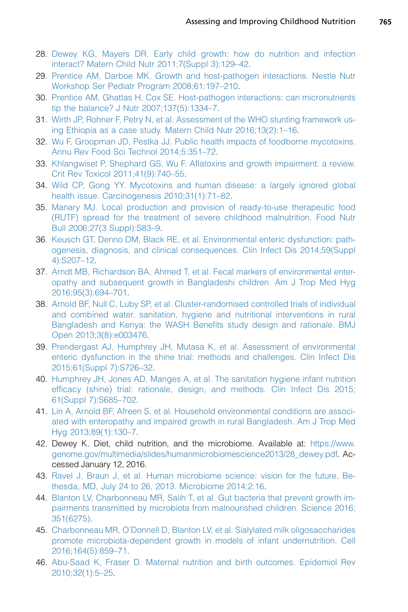- <span id="page-10-0"></span>28. [Dewey KG, Mayers DR. Early child growth: how do nutrition and infection](http://refhub.elsevier.com/S0031-3955(17)30033-0/sref27) [interact? Matern Child Nutr 2011;7\(Suppl 3\):129–42.](http://refhub.elsevier.com/S0031-3955(17)30033-0/sref27)
- 29. [Prentice AM, Darboe MK. Growth and host-pathogen interactions. Nestle Nutr](http://refhub.elsevier.com/S0031-3955(17)30033-0/sref28) [Workshop Ser Pediatr Program 2008;61:197–210.](http://refhub.elsevier.com/S0031-3955(17)30033-0/sref28)
- 30. [Prentice AM, Ghattas H, Cox SE. Host-pathogen interactions: can micronutrients](http://refhub.elsevier.com/S0031-3955(17)30033-0/sref29) [tip the balance? J Nutr 2007;137\(5\):1334–7](http://refhub.elsevier.com/S0031-3955(17)30033-0/sref29).
- 31. [Wirth JP, Rohner F, Petry N, et al. Assessment of the WHO stunting framework us](http://refhub.elsevier.com/S0031-3955(17)30033-0/sref30)[ing Ethiopia as a case study. Matern Child Nutr 2016;13\(2\):1–16](http://refhub.elsevier.com/S0031-3955(17)30033-0/sref30).
- 32. [Wu F, Groopman JD, Pestka JJ. Public health impacts of foodborne mycotoxins.](http://refhub.elsevier.com/S0031-3955(17)30033-0/sref31) [Annu Rev Food Sci Technol 2014;5:351–72](http://refhub.elsevier.com/S0031-3955(17)30033-0/sref31).
- 33. [Khlangwiset P, Shephard GS, Wu F. Aflatoxins and growth impairment: a review.](http://refhub.elsevier.com/S0031-3955(17)30033-0/sref32) [Crit Rev Toxicol 2011;41\(9\):740–55](http://refhub.elsevier.com/S0031-3955(17)30033-0/sref32).
- 34. [Wild CP, Gong YY. Mycotoxins and human disease: a largely ignored global](http://refhub.elsevier.com/S0031-3955(17)30033-0/sref33) [health issue. Carcinogenesis 2010;31\(1\):71–82.](http://refhub.elsevier.com/S0031-3955(17)30033-0/sref33)
- 35. [Manary MJ. Local production and provision of ready-to-use therapeutic food](http://refhub.elsevier.com/S0031-3955(17)30033-0/sref34) [\(RUTF\) spread for the treatment of severe childhood malnutrition. Food Nutr](http://refhub.elsevier.com/S0031-3955(17)30033-0/sref34) [Bull 2006;27\(3 Suppl\):S83–9.](http://refhub.elsevier.com/S0031-3955(17)30033-0/sref34)
- 36. [Keusch GT, Denno DM, Black RE, et al. Environmental enteric dysfunction: path](http://refhub.elsevier.com/S0031-3955(17)30033-0/sref35)[ogenesis, diagnosis, and clinical consequences. Clin Infect Dis 2014;59\(Suppl](http://refhub.elsevier.com/S0031-3955(17)30033-0/sref35) [4\):S207–12.](http://refhub.elsevier.com/S0031-3955(17)30033-0/sref35)
- 37. [Arndt MB, Richardson BA, Ahmed T, et al. Fecal markers of environmental enter](http://refhub.elsevier.com/S0031-3955(17)30033-0/sref36)[opathy and subsequent growth in Bangladeshi children. Am J Trop Med Hyg](http://refhub.elsevier.com/S0031-3955(17)30033-0/sref36) [2016;95\(3\):694–701.](http://refhub.elsevier.com/S0031-3955(17)30033-0/sref36)
- 38. [Arnold BF, Null C, Luby SP, et al. Cluster-randomised controlled trials of individual](http://refhub.elsevier.com/S0031-3955(17)30033-0/sref37) [and combined water, sanitation, hygiene and nutritional interventions in rural](http://refhub.elsevier.com/S0031-3955(17)30033-0/sref37) [Bangladesh and Kenya: the WASH Benefits study design and rationale. BMJ](http://refhub.elsevier.com/S0031-3955(17)30033-0/sref37) [Open 2013;3\(8\):e003476.](http://refhub.elsevier.com/S0031-3955(17)30033-0/sref37)
- 39. [Prendergast AJ, Humphrey JH, Mutasa K, et al. Assessment of environmental](http://refhub.elsevier.com/S0031-3955(17)30033-0/sref38) [enteric dysfunction in the shine trial: methods and challenges. Clin Infect Dis](http://refhub.elsevier.com/S0031-3955(17)30033-0/sref38) [2015;61\(Suppl 7\):S726–32.](http://refhub.elsevier.com/S0031-3955(17)30033-0/sref38)
- 40. [Humphrey JH, Jones AD, Manges A, et al. The sanitation hygiene infant nutrition](http://refhub.elsevier.com/S0031-3955(17)30033-0/sref39) [efficacy \(shine\) trial: rationale, design, and methods. Clin Infect Dis 2015;](http://refhub.elsevier.com/S0031-3955(17)30033-0/sref39) [61\(Suppl 7\):S685–702](http://refhub.elsevier.com/S0031-3955(17)30033-0/sref39).
- 41. [Lin A, Arnold BF, Afreen S, et al. Household environmental conditions are associ](http://refhub.elsevier.com/S0031-3955(17)30033-0/sref40)[ated with enteropathy and impaired growth in rural Bangladesh. Am J Trop Med](http://refhub.elsevier.com/S0031-3955(17)30033-0/sref40) [Hyg 2013;89\(1\):130–7](http://refhub.elsevier.com/S0031-3955(17)30033-0/sref40).
- 42. Dewey K. Diet, child nutrition, and the microbiome. Available at: [https://www.](https://www.genome.gov/multimedia/slides/humanmicrobiomescience2013/28_dewey.pdf) [genome.gov/multimedia/slides/humanmicrobiomescience2013/28\\_dewey.pdf](https://www.genome.gov/multimedia/slides/humanmicrobiomescience2013/28_dewey.pdf). Accessed January 12, 2016.
- 43. [Ravel J, Braun J, et al. Human microbiome science: vision for the future, Be](http://refhub.elsevier.com/S0031-3955(17)30033-0/sref42)[thesda, MD, July 24 to 26, 2013. Microbiome 2014;2:16.](http://refhub.elsevier.com/S0031-3955(17)30033-0/sref42)
- 44. [Blanton LV, Charbonneau MR, Salih T, et al. Gut bacteria that prevent growth im](http://refhub.elsevier.com/S0031-3955(17)30033-0/sref43)[pairments transmitted by microbiota from malnourished children. Science 2016;](http://refhub.elsevier.com/S0031-3955(17)30033-0/sref43) [351\(6275\)](http://refhub.elsevier.com/S0031-3955(17)30033-0/sref43).
- 45. [Charbonneau MR, O'Donnell D, Blanton LV, et al. Sialylated milk oligosaccharides](http://refhub.elsevier.com/S0031-3955(17)30033-0/sref44) [promote microbiota-dependent growth in models of infant undernutrition. Cell](http://refhub.elsevier.com/S0031-3955(17)30033-0/sref44) [2016;164\(5\):859–71.](http://refhub.elsevier.com/S0031-3955(17)30033-0/sref44)
- 46. [Abu-Saad K, Fraser D. Maternal nutrition and birth outcomes. Epidemiol Rev](http://refhub.elsevier.com/S0031-3955(17)30033-0/sref45) [2010;32\(1\):5–25.](http://refhub.elsevier.com/S0031-3955(17)30033-0/sref45)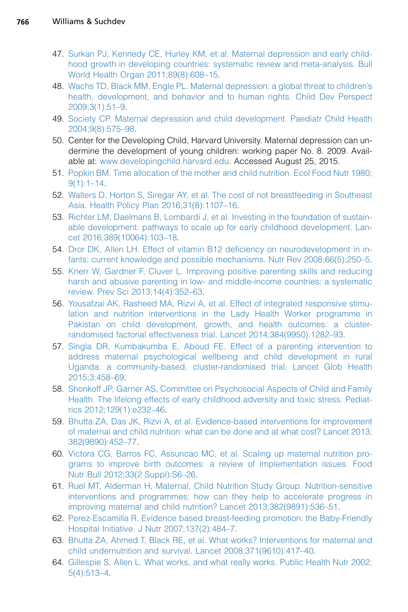- <span id="page-11-0"></span>47. [Surkan PJ, Kennedy CE, Hurley KM, et al. Maternal depression and early child](http://refhub.elsevier.com/S0031-3955(17)30033-0/sref46)[hood growth in developing countries: systematic review and meta-analysis. Bull](http://refhub.elsevier.com/S0031-3955(17)30033-0/sref46) [World Health Organ 2011;89\(8\):608–15.](http://refhub.elsevier.com/S0031-3955(17)30033-0/sref46)
- 48. [Wachs TD, Black MM, Engle PL. Maternal depression: a global threat to children's](http://refhub.elsevier.com/S0031-3955(17)30033-0/sref47) [health, development, and behavior and to human rights. Child Dev Perspect](http://refhub.elsevier.com/S0031-3955(17)30033-0/sref47) [2009;3\(1\):51–9](http://refhub.elsevier.com/S0031-3955(17)30033-0/sref47).
- 49. [Society CP. Maternal depression and child development. Paediatr Child Health](http://refhub.elsevier.com/S0031-3955(17)30033-0/sref48) [2004;9\(8\):575–98](http://refhub.elsevier.com/S0031-3955(17)30033-0/sref48).
- 50. Center for the Developing Child, Harvard University. Maternal depression can undermine the development of young children: working paper No. 8. 2009. Available at: [www.developingchild.harvard.edu](http://www.developingchild.harvard.edu). Accessed August 25, 2015.
- 51. [Popkin BM. Time allocation of the mother and child nutrition. Ecol Food Nutr 1980;](http://refhub.elsevier.com/S0031-3955(17)30033-0/sref50)  $9(1): 1 - 14.$
- 52. [Walters D, Horton S, Siregar AY, et al. The cost of not breastfeeding in Southeast](http://refhub.elsevier.com/S0031-3955(17)30033-0/sref51) [Asia. Health Policy Plan 2016;31\(8\):1107–16.](http://refhub.elsevier.com/S0031-3955(17)30033-0/sref51)
- 53. [Richter LM, Daelmans B, Lombardi J, et al. Investing in the foundation of sustain](http://refhub.elsevier.com/S0031-3955(17)30033-0/sref52)[able development: pathways to scale up for early childhood development. Lan](http://refhub.elsevier.com/S0031-3955(17)30033-0/sref52)[cet 2016;389\(10064\):103–18](http://refhub.elsevier.com/S0031-3955(17)30033-0/sref52).
- 54. [Dror DK, Allen LH. Effect of vitamin B12 deficiency on neurodevelopment in in](http://refhub.elsevier.com/S0031-3955(17)30033-0/sref53)[fants: current knowledge and possible mechanisms. Nutr Rev 2008;66\(5\):250–5.](http://refhub.elsevier.com/S0031-3955(17)30033-0/sref53)
- 55. [Knerr W, Gardner F, Cluver L. Improving positive parenting skills and reducing](http://refhub.elsevier.com/S0031-3955(17)30033-0/sref54) [harsh and abusive parenting in low- and middle-income countries: a systematic](http://refhub.elsevier.com/S0031-3955(17)30033-0/sref54) [review. Prev Sci 2013;14\(4\):352–63](http://refhub.elsevier.com/S0031-3955(17)30033-0/sref54).
- 56. [Yousafzai AK, Rasheed MA, Rizvi A, et al. Effect of integrated responsive stimu](http://refhub.elsevier.com/S0031-3955(17)30033-0/sref55)[lation and nutrition interventions in the Lady Health Worker programme in](http://refhub.elsevier.com/S0031-3955(17)30033-0/sref55) [Pakistan on child development, growth, and health outcomes: a cluster](http://refhub.elsevier.com/S0031-3955(17)30033-0/sref55)[randomised factorial effectiveness trial. Lancet 2014;384\(9950\):1282–93](http://refhub.elsevier.com/S0031-3955(17)30033-0/sref55).
- 57. [Singla DR, Kumbakumba E, Aboud FE. Effect of a parenting intervention to](http://refhub.elsevier.com/S0031-3955(17)30033-0/sref56) [address maternal psychological wellbeing and child development in rural](http://refhub.elsevier.com/S0031-3955(17)30033-0/sref56) [Uganda: a community-based, cluster-randomised trial. Lancet Glob Health](http://refhub.elsevier.com/S0031-3955(17)30033-0/sref56) [2015;3:458–69](http://refhub.elsevier.com/S0031-3955(17)30033-0/sref56).
- 58. [Shonkoff JP, Garner AS, Committee on Psychosocial Aspects of Child and Family](http://refhub.elsevier.com/S0031-3955(17)30033-0/sref57) [Health. The lifelong effects of early childhood adversity and toxic stress. Pediat](http://refhub.elsevier.com/S0031-3955(17)30033-0/sref57)[rics 2012;129\(1\):e232–46.](http://refhub.elsevier.com/S0031-3955(17)30033-0/sref57)
- 59. [Bhutta ZA, Das JK, Rizvi A, et al. Evidence-based interventions for improvement](http://refhub.elsevier.com/S0031-3955(17)30033-0/sref58) [of maternal and child nutrition: what can be done and at what cost? Lancet 2013;](http://refhub.elsevier.com/S0031-3955(17)30033-0/sref58) [382\(9890\):452–77.](http://refhub.elsevier.com/S0031-3955(17)30033-0/sref58)
- 60. [Victora CG, Barros FC, Assuncao MC, et al. Scaling up maternal nutrition pro](http://refhub.elsevier.com/S0031-3955(17)30033-0/sref59)[grams to improve birth outcomes: a review of implementation issues. Food](http://refhub.elsevier.com/S0031-3955(17)30033-0/sref59) [Nutr Bull 2012;33\(2 Suppl\):S6–26.](http://refhub.elsevier.com/S0031-3955(17)30033-0/sref59)
- 61. [Ruel MT, Alderman H, Maternal, Child Nutrition Study Group. Nutrition-sensitive](http://refhub.elsevier.com/S0031-3955(17)30033-0/sref60) [interventions and programmes: how can they help to accelerate progress in](http://refhub.elsevier.com/S0031-3955(17)30033-0/sref60) [improving maternal and child nutrition? Lancet 2013;382\(9891\):536–51.](http://refhub.elsevier.com/S0031-3955(17)30033-0/sref60)
- 62. [Perez-Escamilla R. Evidence based breast-feeding promotion: the Baby-Friendly](http://refhub.elsevier.com/S0031-3955(17)30033-0/sref61) [Hospital Initiative. J Nutr 2007;137\(2\):484–7.](http://refhub.elsevier.com/S0031-3955(17)30033-0/sref61)
- 63. [Bhutta ZA, Ahmed T, Black RE, et al. What works? Interventions for maternal and](http://refhub.elsevier.com/S0031-3955(17)30033-0/sref62) [child undernutrition and survival. Lancet 2008;371\(9610\):417–40.](http://refhub.elsevier.com/S0031-3955(17)30033-0/sref62)
- 64. [Gillespie S, Allen L. What works, and what really works. Public Health Nutr 2002;](http://refhub.elsevier.com/S0031-3955(17)30033-0/sref63) [5\(4\):513–4](http://refhub.elsevier.com/S0031-3955(17)30033-0/sref63).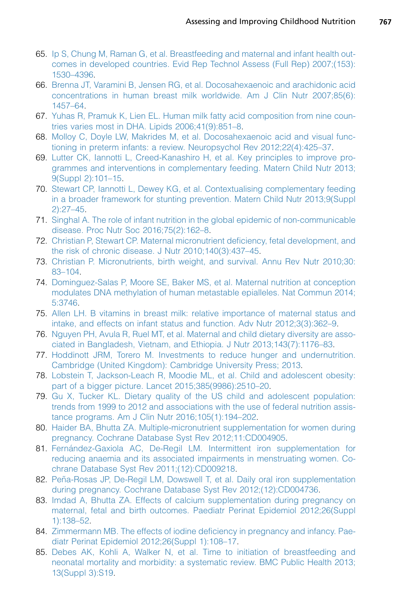- <span id="page-12-0"></span>65. [Ip S, Chung M, Raman G, et al. Breastfeeding and maternal and infant health out](http://refhub.elsevier.com/S0031-3955(17)30033-0/sref64)[comes in developed countries. Evid Rep Technol Assess \(Full Rep\) 2007;\(153\):](http://refhub.elsevier.com/S0031-3955(17)30033-0/sref64) [1530–4396.](http://refhub.elsevier.com/S0031-3955(17)30033-0/sref64)
- 66. [Brenna JT, Varamini B, Jensen RG, et al. Docosahexaenoic and arachidonic acid](http://refhub.elsevier.com/S0031-3955(17)30033-0/sref65) [concentrations in human breast milk worldwide. Am J Clin Nutr 2007;85\(6\):](http://refhub.elsevier.com/S0031-3955(17)30033-0/sref65) [1457–64.](http://refhub.elsevier.com/S0031-3955(17)30033-0/sref65)
- 67. [Yuhas R, Pramuk K, Lien EL. Human milk fatty acid composition from nine coun](http://refhub.elsevier.com/S0031-3955(17)30033-0/sref66)[tries varies most in DHA. Lipids 2006;41\(9\):851–8](http://refhub.elsevier.com/S0031-3955(17)30033-0/sref66).
- 68. [Molloy C, Doyle LW, Makrides M, et al. Docosahexaenoic acid and visual func](http://refhub.elsevier.com/S0031-3955(17)30033-0/sref67)[tioning in preterm infants: a review. Neuropsychol Rev 2012;22\(4\):425–37](http://refhub.elsevier.com/S0031-3955(17)30033-0/sref67).
- 69. [Lutter CK, Iannotti L, Creed-Kanashiro H, et al. Key principles to improve pro](http://refhub.elsevier.com/S0031-3955(17)30033-0/sref68)[grammes and interventions in complementary feeding. Matern Child Nutr 2013;](http://refhub.elsevier.com/S0031-3955(17)30033-0/sref68) [9\(Suppl 2\):101–15.](http://refhub.elsevier.com/S0031-3955(17)30033-0/sref68)
- 70. [Stewart CP, Iannotti L, Dewey KG, et al. Contextualising complementary feeding](http://refhub.elsevier.com/S0031-3955(17)30033-0/sref69) [in a broader framework for stunting prevention. Matern Child Nutr 2013;9\(Suppl](http://refhub.elsevier.com/S0031-3955(17)30033-0/sref69) [2\):27–45.](http://refhub.elsevier.com/S0031-3955(17)30033-0/sref69)
- 71. [Singhal A. The role of infant nutrition in the global epidemic of non-communicable](http://refhub.elsevier.com/S0031-3955(17)30033-0/sref70) [disease. Proc Nutr Soc 2016;75\(2\):162–8](http://refhub.elsevier.com/S0031-3955(17)30033-0/sref70).
- 72. [Christian P, Stewart CP. Maternal micronutrient deficiency, fetal development, and](http://refhub.elsevier.com/S0031-3955(17)30033-0/sref71) [the risk of chronic disease. J Nutr 2010;140\(3\):437–45](http://refhub.elsevier.com/S0031-3955(17)30033-0/sref71).
- 73. [Christian P. Micronutrients, birth weight, and survival. Annu Rev Nutr 2010;30:](http://refhub.elsevier.com/S0031-3955(17)30033-0/sref72) [83–104.](http://refhub.elsevier.com/S0031-3955(17)30033-0/sref72)
- 74. [Dominguez-Salas P, Moore SE, Baker MS, et al. Maternal nutrition at conception](http://refhub.elsevier.com/S0031-3955(17)30033-0/sref73) [modulates DNA methylation of human metastable epialleles. Nat Commun 2014;](http://refhub.elsevier.com/S0031-3955(17)30033-0/sref73) [5:3746](http://refhub.elsevier.com/S0031-3955(17)30033-0/sref73).
- 75. [Allen LH. B vitamins in breast milk: relative importance of maternal status and](http://refhub.elsevier.com/S0031-3955(17)30033-0/sref74) [intake, and effects on infant status and function. Adv Nutr 2012;3\(3\):362–9](http://refhub.elsevier.com/S0031-3955(17)30033-0/sref74).
- 76. [Nguyen PH, Avula R, Ruel MT, et al. Maternal and child dietary diversity are asso](http://refhub.elsevier.com/S0031-3955(17)30033-0/sref75)[ciated in Bangladesh, Vietnam, and Ethiopia. J Nutr 2013;143\(7\):1176–83](http://refhub.elsevier.com/S0031-3955(17)30033-0/sref75).
- 77. [Hoddinott JRM, Torero M. Investments to reduce hunger and undernutrition.](http://refhub.elsevier.com/S0031-3955(17)30033-0/sref76) [Cambridge \(United Kingdom\): Cambridge University Press; 2013](http://refhub.elsevier.com/S0031-3955(17)30033-0/sref76).
- 78. [Lobstein T, Jackson-Leach R, Moodie ML, et al. Child and adolescent obesity:](http://refhub.elsevier.com/S0031-3955(17)30033-0/sref77) [part of a bigger picture. Lancet 2015;385\(9986\):2510–20.](http://refhub.elsevier.com/S0031-3955(17)30033-0/sref77)
- 79. [Gu X, Tucker KL. Dietary quality of the US child and adolescent population:](http://refhub.elsevier.com/S0031-3955(17)30033-0/sref78) [trends from 1999 to 2012 and associations with the use of federal nutrition assis](http://refhub.elsevier.com/S0031-3955(17)30033-0/sref78)[tance programs. Am J Clin Nutr 2016;105\(1\):194–202](http://refhub.elsevier.com/S0031-3955(17)30033-0/sref78).
- 80. [Haider BA, Bhutta ZA. Multiple-micronutrient supplementation for women during](http://refhub.elsevier.com/S0031-3955(17)30033-0/sref80) [pregnancy. Cochrane Database Syst Rev 2012;11:CD004905](http://refhub.elsevier.com/S0031-3955(17)30033-0/sref80).
- 81. Fernández-Gaxiola AC, De-Regil LM. Intermittent iron supplementation for [reducing anaemia and its associated impairments in menstruating women. Co](http://refhub.elsevier.com/S0031-3955(17)30033-0/sref81)[chrane Database Syst Rev 2011;\(12\):CD009218.](http://refhub.elsevier.com/S0031-3955(17)30033-0/sref81)
- 82. Peña-Rosas JP, De-Regil LM, Dowswell T, et al. Daily oral iron supplementation [during pregnancy. Cochrane Database Syst Rev 2012;\(12\):CD004736](http://refhub.elsevier.com/S0031-3955(17)30033-0/sref82).
- 83. [Imdad A, Bhutta ZA. Effects of calcium supplementation during pregnancy on](http://refhub.elsevier.com/S0031-3955(17)30033-0/sref83) [maternal, fetal and birth outcomes. Paediatr Perinat Epidemiol 2012;26\(Suppl](http://refhub.elsevier.com/S0031-3955(17)30033-0/sref83) [1\):138–52](http://refhub.elsevier.com/S0031-3955(17)30033-0/sref83).
- 84. [Zimmermann MB. The effects of iodine deficiency in pregnancy and infancy. Pae](http://refhub.elsevier.com/S0031-3955(17)30033-0/sref84)[diatr Perinat Epidemiol 2012;26\(Suppl 1\):108–17.](http://refhub.elsevier.com/S0031-3955(17)30033-0/sref84)
- 85. [Debes AK, Kohli A, Walker N, et al. Time to initiation of breastfeeding and](http://refhub.elsevier.com/S0031-3955(17)30033-0/sref85) [neonatal mortality and morbidity: a systematic review. BMC Public Health 2013;](http://refhub.elsevier.com/S0031-3955(17)30033-0/sref85) [13\(Suppl 3\):S19.](http://refhub.elsevier.com/S0031-3955(17)30033-0/sref85)